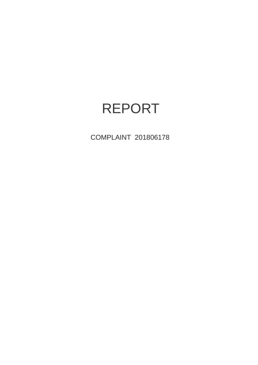# REPORT

COMPLAINT 201806178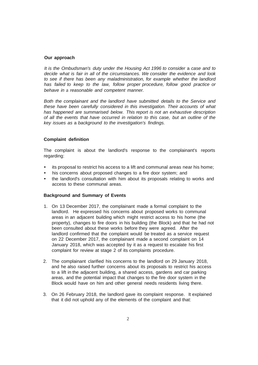#### **Our approach**

*It is the Ombudsman's duty under the Housing Act 1996 to consider* a *case and to decide what is fair in all of the circumstances. We consider the evidence and look to see if there has been any maladministration, for example whether the landlord has failed to keep to the law, follow proper procedure, follow good practice or behave in* a *reasonable and competent manner.*

*Both the complainant and the landlord have submitted details to the Service and these have been carefully considered in this investigation. Their accounts of what has happened are summarised below. This report is not an exhaustive description of all the events that have occurred in relation to this case, but an outline of the key issues as* a *background to the investigation's findings.*

## **Complaint definition**

The complaint is about the landlord's response to the complainant's reports regarding:

- its proposal to restrict his access to a lift and communal areas near his home;
- his concerns about proposed changes to a fire door system; and
- the landlord's consultation with him about its proposals relating to works and access to these communal areas.

#### **Background and Summary of Events**

- 1. On 13 December 2017, the complainant made a formal complaint to the landlord. He expressed his concerns about proposed works to communal areas in an adjacent building which might restrict access to his home (the property), changes to fire doors in his building (the Block) and that he had not been consulted about these works before they were agreed. After the landlord confirmed that the complaint would be treated as a service request on 22 December 2017, the complainant made a second complaint on 14 January 2018, which was accepted by it as a request to escalate his first complaint for review at stage 2 of its complaints procedure.
- 2. The complainant clarified his concerns to the landlord on 29 January 2018, and he also raised further concerns about its proposals to restrict his access to a lift in the adjacent building, a shared access, gardens and car parking areas, and the potential impact that changes to the fire door system in the Block would have on him and other general needs residents living there.
- 3. On 26 February 2018, the landlord gave its complaint response. It explained that it did not uphold any of the elements of the complaint and that: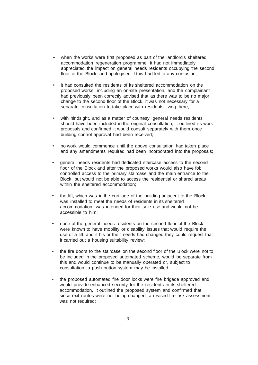- when the works were first proposed as part of the landlord's sheltered accommodation regeneration programme, it had not immediately appreciated the impact on general needs residents occupying the second floor of the Block, and apologised if this had led to any confusion;
- it had consulted the residents of its sheltered accommodation on the proposed works, including an on-site presentation, and the complainant had previously been correctly advised that as there was to be no major change to the second floor of the Block, it was not necessary for a separate consultation to take place with residents living there;
- with hindsight, and as a matter of courtesy, general needs residents should have been included in the original consultation, it outlined its work proposals and confirmed it would consult separately with them once building control approval had been received;
- no work would commence until the above consultation had taken place and any amendments required had been incorporated into the proposals;
- general needs residents had dedicated staircase access to the second floor of the Block and after the proposed works would also have fob controlled access to the primary staircase and the main entrance to the Block, but would not be able to access the residential or shared areas within the sheltered accommodation;
- the lift, which was in the curtilage of the building adjacent to the Block, was installed to meet the needs of residents in its sheltered accommodation, was intended for their sole use and would not be accessible to him;
- none of the general needs residents on the second floor of the Block were known to have mobility or disability issues that would require the use of a lift, and if his or their needs had changed they could request that it carried out a housing suitability review;
- the fire doors to the staircase on the second floor of the Block were not to be included in the proposed automated scheme, would be separate from this and would continue to be manually operated or, subject to consultation, a push button system may be installed;
- the proposed automated fire door locks were fire brigade approved and would provide enhanced security for the residents in its sheltered accommodation, it outlined the proposed system and confirmed that since exit routes were not being changed, a revised fire risk assessment was not required;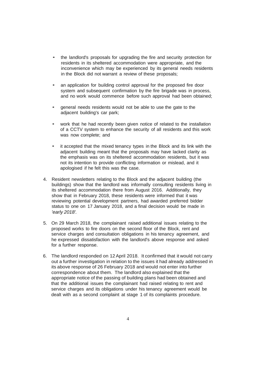- the landlord's proposals for upgrading the fire and security protection for residents in its sheltered accommodation were appropriate, and the inconvenience which may be experienced by its general needs residents in the Block did not warrant a review of these proposals;
- an application for building control approval for the proposed fire door system and subsequent confirmation by the fire brigade was in process, and no work would commence before such approval had been obtained;
- general needs residents would not be able to use the gate to the adjacent building's car park;
- work that he had recently been given notice of related to the installation of a CCTV system to enhance the security of all residents and this work was now complete; and
- it accepted that the mixed tenancy types in the Block and its link with the adjacent building meant that the proposals may have lacked clarity as the emphasis was on its sheltered accommodation residents, but it was not its intention to provide conflicting information or mislead, and it apologised if he felt this was the case.
- 4. Resident newsletters relating to the Block and the adjacent building (the buildings) show that the landlord was informally consulting residents living in its sheltered accommodation there from August 2016. Additionally, they show that in February 2018, these residents were informed that it was reviewing potential development partners, had awarded preferred bidder status to one on 17 January 2018, and a final decision would be made in *'early 2018'.*
- 5. On 29 March 2018, the complainant raised additional issues relating to the proposed works to fire doors on the second floor of the Block, rent and service charges and consultation obligations in his tenancy agreement, and he expressed dissatisfaction with the landlord's above response and asked for a further response.
- 6. The landlord responded on 12April 2018. It confirmed that it would not carry out a further investigation in relation to the issues it had already addressed in its above response of 26 February 2018 and would not enter into further correspondence about them. The landlord also explained that the appropriate notice of the passing of building plans had been obtained and that the additional issues the complainant had raised relating to rent and service charges and its obligations under his tenancy agreement would be dealt with as a second complaint at stage 1 of its complaints procedure.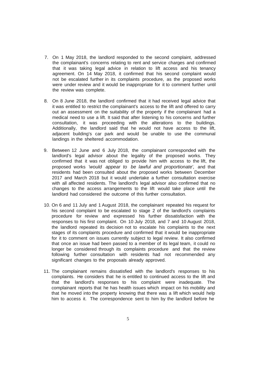- 7. On 1 May 2018, the landlord responded to the second complaint, addressed the complainant's concerns relating to rent and service charges and confirmed that it was taking legal advice in relation to lift access and his tenancy agreement. On 14 May 2018, it confirmed that his second complaint would not be escalated further in its complaints procedure, as the proposed works were under review and it would be inappropriate for it to comment further until the review was complete.
- 8. On 8 June 2018, the landlord confirmed that it had received legal advice that it was entitled to restrict the complainant's access to the lift and offered to carry out an assessment on the suitability of the property if the complainant had a medical need to use a lift. It said that after listening to his concerns and further consultation, it was proceeding with the alterations to the buildings. Additionally, the landlord said that he would not have access to the lift, adjacent building's car park and would be unable to use the communal landings in the sheltered accommodation.
- 9. Between 12 June and 6 July 2018, the complainant corresponded with the landlord's legal advisor about the legality of the proposed works. They confirmed that it was not obliged to provide him with access to the lift, the proposed works *'would appear to be lawful and proportionate',* and that residents had been consulted about the proposed works between December 2017 and March 2018 but it would undertake a further consultation exercise with all affected residents. The landlord's legal advisor also confirmed that no changes to the access arrangements to the lift would take place until the landlord had considered the outcome of this further consultation.
- 10. On 6 and 11 July and 1 August 2018, the complainant repeated his request for his second complaint to be escalated to stage 2 of the landlord's complaints procedure for review and expressed his further dissatisfaction with the responses to his first complaint. On 10 July 2018, and 7 and 10 August 2018, the landlord repeated its decision not to escalate his complaints to the next stages of its complaints procedure and confirmed that it would be inappropriate for it to comment on issues currently subject to legal review. It also confirmed that once an issue had been passed to a member of its legal team, it could no longer be considered through its complaints procedure and that the review following further consultation with residents had not recommended any significant changes to the proposals already approved.
- 11. The complainant remains dissatisfied with the landlord's responses to his complaints. He considers that he is entitled to continued access to the lift and that the landlord's responses to his complaint were inadequate. The complainant reports that he has health issues which impact on his mobility and that he moved into the property knowing that there was a lift which would help him to access it. The correspondence sent to him by the landlord before he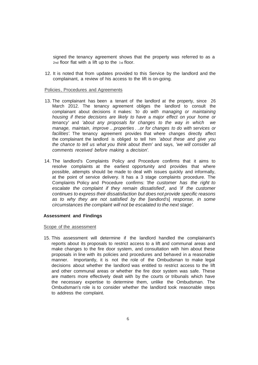signed the tenancy agreement shows that the property was referred to as a 2nd floor flat with a lift up to the 1st floor.

12. It is noted that from updates provided to this Service by the landlord and the complainant, a review of his access to the lift is on-going.

#### Policies, Procedures and Agreements

- 13. The complainant has been a tenant of the landlord at the property, since 26 March 2012. The tenancy agreement obliges the landlord to consult the complainant about decisions it makes: *'to do with managing or maintaining housing if these decisions are likely to have* a *major effect on your home or tenancy'* and *'about any proposals for changes to the way in which we manage, maintain, improve ...properties .* ..*or for changes to do with services or facilities'.* The tenancy agreement provides that where changes directly affect the complainant the landlord is obliged to tell him *'about these and give you the chance to tell us what you think about them'* and says, *'we will consider all comments received before making* a *decision'.*
- 14. The landlord's Complaints Policy and Procedure confirms that it aims to resolve complaints at the earliest opportunity and provides that where possible, attempts should be made to deal with issues quickly and informally, at the point of service delivery. It has a 3 stage complaints procedure. The Complaints Policy and Procedure confirms: *'the customer has the right to escalate the complaint if they remain dissatisfied',* and *'if the customer continues to express their dissatisfaction but does not provide specific reasons as to why they are not satisfied by the* [landlord's] *response, in some circumstances the complaint will not be escalated to the next stage'.*

# **Assessment and Findings**

## Scope of the assessment

15. This assessment will determine if the landlord handled the complainant's reports about its proposals to restrict access to a lift and communal areas and make changes to the fire door system, and consultation with him about these proposals in line with its policies and procedures and behaved in a reasonable manner. Importantly, it is not the role of the Ombudsman to make legal decisions about whether the landlord was entitled to restrict access to the lift and other communal areas or whether the fire door system was safe. These are matters more effectively dealt with by the courts or tribunals which have the necessary expertise to determine them, unlike the Ombudsman. The Ombudsman's role is to consider whether the landlord took reasonable steps to address the complaint.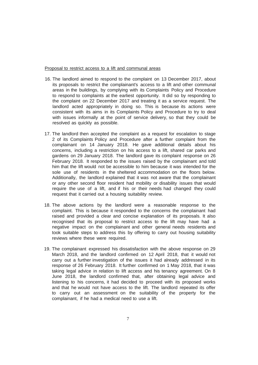#### Proposal to restrict access to a lift and communal areas

- 16. The landlord aimed to respond to the complaint on 13 December 2017, about its proposals to restrict the complainant's access to a lift and other communal areas in the buildings, by complying with its Complaints Policy and Procedure to respond to complaints at the earliest opportunity. It did so by responding to the complaint on 22 December 2017 and treating it as a service request. The landlord acted appropriately in doing so. This is because its actions were consistent with its aims in its Complaints Policy and Procedure to try to deal with issues informally at the point of service delivery, so that they could be resolved as quickly as possible.
- 17. The landlord then accepted the complaint as a request for escalation to stage 2 of its Complaints Policy and Procedure after a further complaint from the complainant on 14 January 2018. He gave additional details about his concerns, including a restriction on his access to a lift, shared car parks and gardens on 29 January 2018. The landlord gave its complaint response on 26 February 2018. It responded to the issues raised by the complainant and told him that the lift would not be accessible to him because it was intended for the sole use of residents in the sheltered accommodation on the floors below. Additionally, the landlord explained that it was not aware that the complainant or any other second floor resident had mobility or disability issues that would require the use of a lift, and if his or their needs had changed they could request that it carried out a housing suitability review.
- 18. The above actions by the landlord were a reasonable response to the complaint. This is because it responded to the concerns the complainant had raised and provided a clear and concise explanation of its proposals. It also recognised that its proposal to restrict access to the lift may have had a negative impact on the complainant and other general needs residents and took suitable steps to address this by offering to carry out housing suitability reviews where these were required.
- 19. The complainant expressed his dissatisfaction with the above response on 29 March 2018, and the landlord confirmed on 12 April 2018, that it would not carry out a further investigation of the issues it had already addressed in its response of 26 February 2018. It further confirmed on 1 May 2018, that it was taking legal advice in relation to lift access and his tenancy agreement. On 8 June 2018, the landlord confirmed that, after obtaining legal advice and listening to his concerns, it had decided to proceed with its proposed works and that he would not have access to the lift. The landlord repeated its offer to carry out an assessment on the suitability of the property for the complainant, if he had a medical need to use a lift.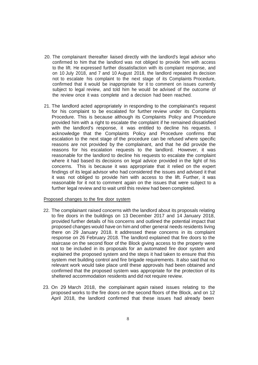- 20. The complainant thereafter liaised directly with the landlord's legal advisor who confirmed to him that the landlord was not obliged to provide him with access to the lift. He expressed further dissatisfaction with its complaint response, and on 10 July 2018, and 7 and 10 August 2018, the landlord repeated its decision not to escalate his complaint to the next stage of its Complaints Procedure, confirmed that it would be inappropriate for it to comment on issues currently subject to legal review, and told him he would be advised of the outcome of the review once it was complete and a decision had been reached.
- 21. The landlord acted appropriately in responding to the complainant's request for his complaint to be escalated for further review under its Complaints Procedure. This is because although its Complaints Policy and Procedure provided him with a right to escalate the complaint if he remained dissatisfied with the landlord's response, it was entitled to decline his requests. I acknowledge that the Complaints Policy and Procedure confirms that escalation to the next stage of the procedure can be refused where specific reasons are not provided by the complainant, and that he did provide the reasons for his escalation requests to the landlord. However, it was reasonable for the landlord to decline his requests to escalate the complaint where it had based its decisions on legal advice provided in the light of his concerns. This is because it was appropriate that it relied on the expert findings of its legal advisor who had considered the issues and advised it that it was not obliged to provide him with access to the lift. Further, it was reasonable for it not to comment again on the issues that were subject to a further legal review and to wait until this review had been completed.

#### Proposed changes to the fire door system

- 22. The complainant raised concerns with the landlord about its proposals relating to fire doors in the buildings on 13 December 2017 and 14 January 2018, provided further details of his concerns and outlined the potential impact that proposed changes would have on him and other general needs residents living there on 29 January 2018. It addressed these concerns in its complaint response on 26 February 2018. The landlord explained that fire doors to the staircase on the second floor of the Block giving access to the property were not to be included in its proposals for an automated fire door system and explained the proposed system and the steps it had taken to ensure that this system met building control and fire brigade requirements. It also said that no relevant work would take place until these approvals had been obtained and confirmed that the proposed system was appropriate for the protection of its sheltered accommodation residents and did not require review.
- 23. On 29 March 2018, the complainant again raised issues relating to the proposed works to the fire doors on the second floors of the Block, and on 12 April 2018, the landlord confirmed that these issues had already been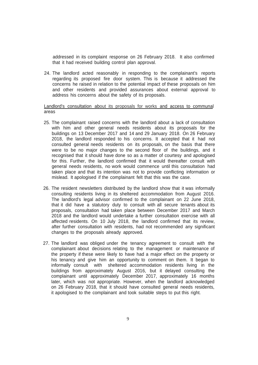addressed in its complaint response on 26 February 2018. It also confirmed that it had received building control plan approval.

24. The landlord acted reasonably in responding to the complainant's reports regarding its proposed fire door system. This is because it addressed the concerns he raised in relation to the potential impact of these proposals on him and other residents and provided assurances about external approval to address his concerns about the safety of its proposals.

## Landlord's consultation about its proposals for works and access to communal areas

- 25. The complainant raised concerns with the landlord about a lack of consultation with him and other general needs residents about its proposals for the buildings on 13 December 2017 and 14 and 29 January 2018. On 26 February 2018, the landlord responded to his concerns. It accepted that it had not consulted general needs residents on its proposals, on the basis that there were to be no major changes to the second floor of the buildings, and it recognised that it should have done so as a matter of courtesy and apologised for this. Further, the landlord confirmed that it would thereafter consult with general needs residents, no work would commence until this consultation had taken place and that its intention was not to provide conflicting information or mislead. It apologised if the complainant felt that this was the case.
- 26. The resident newsletters distributed by the landlord show that it was informally consulting residents living in its sheltered accommodation from August 2016. The landlord's legal advisor confirmed to the complainant on 22 June 2018, that it did have a statutory duty to consult with all secure tenants about its proposals, consultation had taken place between December 2017 and March 2018 and the landlord would undertake a further consultation exercise with all affected residents. On 10 July 2018, the landlord confirmed that its review, after further consultation with residents, had not recommended any significant changes to the proposals already approved.
- 27. The landlord was obliged under the tenancy agreement to consult with the complainant about decisions relating to the management or maintenance of the property if these were likely to have had a major effect on the property or his tenancy and give him an opportunity to comment on them. It began to informally consult with sheltered accommodation residents living in the buildings from approximately August 2016, but it delayed consulting the complainant until approximately December 2017, approximately 16 months later, which was not appropriate. However, when the landlord acknowledged on 26 February 2018, that it should have consulted general needs residents, it apologised to the complainant and took suitable steps to put this right.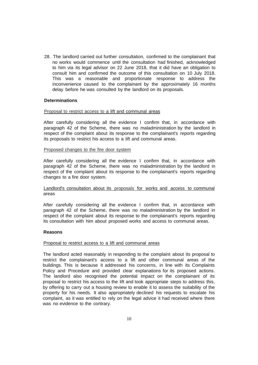28. The landlord carried out further consultation, confirmed to the complainant that no works would commence until the consultation had finished, acknowledged to him via its legal advisor on 22 June 2018, that it did have an obligation to consult him and confirmed the outcome of this consultation on 10 July 2018. This was a reasonable and proportionate response to address the inconvenience caused to the complainant by the approximately 16 months delay before he was consulted by the landlord on its proposals.

# **Determinations**

#### Proposal to restrict access to a lift and communal areas

After carefully considering all the evidence I confirm that, in accordance with paragraph 42 of the Scheme, there was no maladministration by the landlord in respect of the complaint about its response to the complainant's reports regarding its proposals to restrict his access to a lift and communal areas.

## Proposed changes to the fire door system

After carefully considering all the evidence I confirm that, in accordance with paragraph 42 of the Scheme, there was no maladministration by the landlord in respect of the complaint about its response to the complainant's reports regarding changes to a fire door system.

# Landlord's consultation about its proposals for works and access to communal areas

After carefully considering all the evidence I confirm that, in accordance with paragraph 42 of the Scheme, there was no maladministration by the landlord in respect of the complaint about its response to the complainant's reports regarding its consultation with him about proposed works and access to communal areas.

#### **Reasons**

#### Proposal to restrict access to a lift and communal areas

The landlord acted reasonably in responding to the complaint about its proposal to restrict the complainant's access to a lift and other communal areas of the buildings. This is because it addressed his concerns, in line with its Complaints Policy and Procedure and provided clear explanations for its proposed actions. The landlord also recognised the potential impact on the complainant of its proposal to restrict his access to the lift and took appropriate steps to address this, by offering to carry out a housing review to enable it to assess the suitability of the property for his needs. It also appropriately declined his requests to escalate his complaint, as it was entitled to rely on the legal advice it had received where there was no evidence to the contrary.